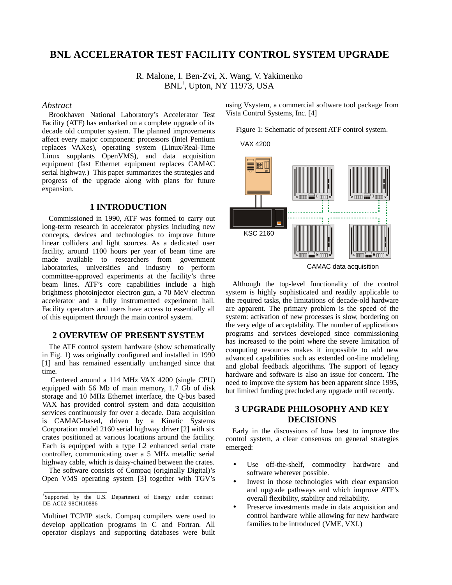# **BNL ACCELERATOR TEST FACILITY CONTROL SYSTEM UPGRADE**

R. Malone, I. Ben-Zvi, X. Wang, V. Yakimenko BNL† , Upton, NY 11973, USA

#### *Abstract*

Brookhaven National Laboratory's Accelerator Test Facility (ATF) has embarked on a complete upgrade of its decade old computer system. The planned improvements affect every major component: processors (Intel Pentium replaces VAXes), operating system (Linux/Real-Time Linux supplants OpenVMS), and data acquisition equipment (fast Ethernet equipment replaces CAMAC serial highway.) This paper summarizes the strategies and progress of the upgrade along with plans for future expansion.

# **1 INTRODUCTION**

Commissioned in 1990, ATF was formed to carry out long-term research in accelerator physics including new concepts, devices and technologies to improve future linear colliders and light sources. As a dedicated user facility, around 1100 hours per year of beam time are made available to researchers from government laboratories, universities and industry to perform committee-approved experiments at the facility's three beam lines. ATF's core capabilities include a high brightness photoinjector electron gun, a 70 MeV electron accelerator and a fully instrumented experiment hall. Facility operators and users have access to essentially all of this equipment through the main control system.

### **2 OVERVIEW OF PRESENT SYSTEM**

The ATF control system hardware (show schematically in Fig. 1) was originally configured and installed in 1990 [1] and has remained essentially unchanged since that time.

 Centered around a 114 MHz VAX 4200 (single CPU) equipped with 56 Mb of main memory, 1.7 Gb of disk storage and 10 MHz Ethernet interface, the Q-bus based VAX has provided control system and data acquisition services continuously for over a decade. Data acquisition is CAMAC-based, driven by a Kinetic Systems Corporation model 2160 serial highway driver [2] with six crates positioned at various locations around the facility. Each is equipped with a type L2 enhanced serial crate controller, communicating over a 5 MHz metallic serial highway cable, which is daisy-chained between the crates.

The software consists of Compaq (originally Digital)'s Open VMS operating system [3] together with TGV's

Multinet TCP/IP stack. Compaq compilers were used to develop application programs in C and Fortran. All operator displays and supporting databases were built using Vsystem, a commercial software tool package from Vista Control Systems, Inc. [4]

Figure 1: Schematic of present ATF control system.



CAMAC data acquisition

Although the top-level functionality of the control system is highly sophisticated and readily applicable to the required tasks, the limitations of decade-old hardware are apparent. The primary problem is the speed of the system: activation of new processes is slow, bordering on the very edge of acceptability. The number of applications programs and services developed since commissioning has increased to the point where the severe limitation of computing resources makes it impossible to add new advanced capabilities such as extended on-line modeling and global feedback algorithms. The support of legacy hardware and software is also an issue for concern. The need to improve the system has been apparent since 1995, but limited funding precluded any upgrade until recently.

## **3 UPGRADE PHILOSOPHY AND KEY DECISIONS**

Early in the discussions of how best to improve the control system, a clear consensus on general strategies emerged:

- Use off-the-shelf, commodity hardware and software wherever possible.
- Invest in those technologies with clear expansion and upgrade pathways and which improve ATF's overall flexibility, stability and reliability.
- Preserve investments made in data acquisition and control hardware while allowing for new hardware families to be introduced (VME, VXI.)

<sup>\*</sup>Supported by the U.S. Department of Energy under contract DE-AC02-98CH10886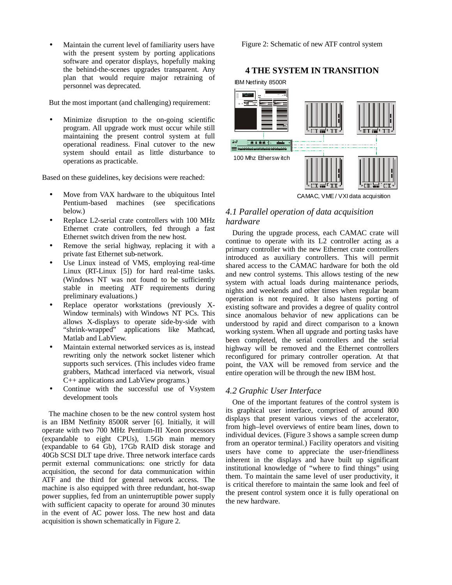Maintain the current level of familiarity users have with the present system by porting applications software and operator displays, hopefully making the behind-the-scenes upgrades transparent. Any plan that would require major retraining of personnel was deprecated.

But the most important (and challenging) requirement:

Minimize disruption to the on-going scientific program. All upgrade work must occur while still maintaining the present control system at full operational readiness. Final cutover to the new system should entail as little disturbance to operations as practicable.

Based on these guidelines, key decisions were reached:

- Move from VAX hardware to the ubiquitous Intel Pentium-based machines (see specifications below.)
- Replace L2-serial crate controllers with 100 MHz Ethernet crate controllers, fed through a fast Ethernet switch driven from the new host.
- Remove the serial highway, replacing it with a private fast Ethernet sub-network.
- Use Linux instead of VMS, employing real-time Linux (RT-Linux [5]) for hard real-time tasks. (Windows NT was not found to be sufficiently stable in meeting ATF requirements during preliminary evaluations.)
- Replace operator workstations (previously X-Window terminals) with Windows NT PCs. This allows X-displays to operate side-by-side with "shrink-wrapped" applications like Mathcad, Matlab and LabView.
- Maintain external networked services as is, instead rewriting only the network socket listener which supports such services. (This includes video frame grabbers, Mathcad interfaced via network, visual C++ applications and LabView programs.)
- Continue with the successful use of Vsystem development tools

The machine chosen to be the new control system host is an IBM Netfinity 8500R server [6]. Initially, it will operate with two 700 MHz Pentium-III Xeon processors (expandable to eight CPUs), 1.5Gb main memory (expandable to 64 Gb), 17Gb RAID disk storage and 40Gb SCSI DLT tape drive. Three network interface cards permit external communications: one strictly for data acquisition, the second for data communication within ATF and the third for general network access. The machine is also equipped with three redundant, hot-swap power supplies, fed from an uninterruptible power supply with sufficient capacity to operate for around 30 minutes in the event of AC power loss. The new host and data acquisition is shown schematically in Figure 2.

Figure 2: Schematic of new ATF control system

## **4 THE SYSTEM IN TRANSITION**



CAMAC, VME / VXI data acquisition

# *4.1 Parallel operation of data acquisition hardware*

During the upgrade process, each CAMAC crate will continue to operate with its L2 controller acting as a primary controller with the new Ethernet crate controllers introduced as auxiliary controllers. This will permit shared access to the CAMAC hardware for both the old and new control systems. This allows testing of the new system with actual loads during maintenance periods, nights and weekends and other times when regular beam operation is not required. It also hastens porting of existing software and provides a degree of quality control since anomalous behavior of new applications can be understood by rapid and direct comparison to a known working system. When all upgrade and porting tasks have been completed, the serial controllers and the serial highway will be removed and the Ethernet controllers reconfigured for primary controller operation. At that point, the VAX will be removed from service and the entire operation will be through the new IBM host.

### *4.2 Graphic User Interface*

One of the important features of the control system is its graphical user interface, comprised of around 800 displays that present various views of the accelerator, from high–level overviews of entire beam lines, down to individual devices. (Figure 3 shows a sample screen dump from an operator terminal.) Facility operators and visiting users have come to appreciate the user-friendliness inherent in the displays and have built up significant institutional knowledge of "where to find things" using them. To maintain the same level of user productivity, it is critical therefore to maintain the same look and feel of the present control system once it is fully operational on the new hardware.